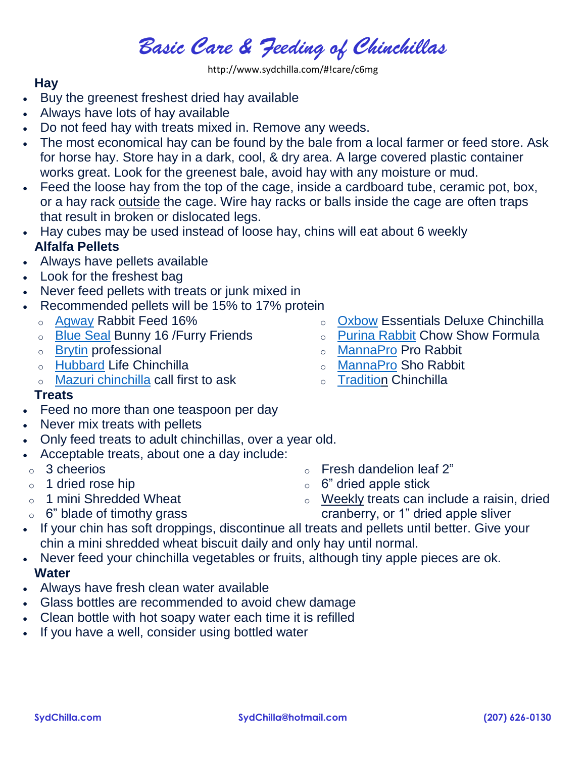# *Basic Care & Feeding of Chinchillas*

http://www.sydchilla.com/#!care/c6mg

## **Hay**

- Buy the greenest freshest dried hay available
- Always have lots of hay available
- Do not feed hay with treats mixed in. Remove any weeds.
- The most economical hay can be found by the bale from a local farmer or feed store. Ask for horse hay. Store hay in a dark, cool, & dry area. A large covered plastic container works great. Look for the greenest bale, avoid hay with any moisture or mud.
- Feed the loose hay from the top of the cage, inside a cardboard tube, ceramic pot, box, or a hay rack outside the cage. Wire hay racks or balls inside the cage are often traps that result in broken or dislocated legs.
- Hay cubes may be used instead of loose hay, chins will eat about 6 weekly **Alfalfa Pellets**
- Always have pellets available
- Look for the freshest bag
- Never feed pellets with treats or junk mixed in
- Recommended pellets will be 15% to 17% protein
	- o [Agway](http://www.agway.com/) Rabbit Feed 16%
	- o Blue [Seal](http://blueseal.com/store-locator/) Bunny 16 /Furry Friends
	- o [Brytin](http://www.chinchillas.com/estore/detail.aspx?ID=243) professional
	- o [Hubbard](http://www.hubbardlife.com/dealers/default.aspx) Life Chinchilla
	- o Mazuri [chinchilla](http://www.mazuri.com/wheretobuy.aspx) call first to ask

## **Treats**

- Feed no more than one teaspoon per day
- Never mix treats with pellets
- Only feed treats to adult chinchillas, over a year old.
- Acceptable treats, about one a day include:
- o 3 cheerios
- $\circ$  1 dried rose hip
- o 1 mini Shredded Wheat
- $\circ$  6" blade of timothy grass
- If your chin has soft droppings, discontinue all treats and pellets until better. Give your chin a mini shredded wheat biscuit daily and only hay until normal.
- Never feed your chinchilla vegetables or fruits, although tiny apple pieces are ok. **Water**
- Always have fresh clean water available
- Glass bottles are recommended to avoid chew damage
- Clean bottle with hot soapy water each time it is refilled
- If you have a well, consider using bottled water
- 
- o [Oxbow](http://www.oxbowanimalhealth.com/contact/find_products/store_locator) Essentials Deluxe Chinchilla
- o [Purina](http://www.rabbit.purinamills.com/PRODUCTS/ECMD2-0019046.aspx) Rabbit Chow Show Formula
- o [MannaPro](http://www.mannapro.com/where-to-buy/) Pro Rabbit
- o [MannaPro](http://www.mannapro.com/where-to-buy/) Sho Rabbit
- o [Tradition](http://www.ryersonchinchilla.com/arc_009.htm) Chinchilla

 $\circ$  Fresh dandelion leaf 2"  $\circ$  6" dried apple stick

 $\circ$  Weekly treats can include a raisin, dried cranberry, or 1" dried apple sliver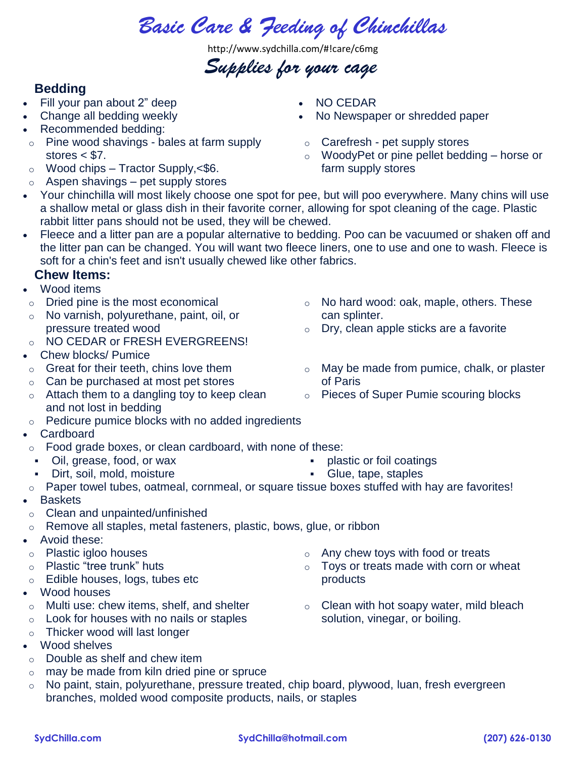*Basic Care & Feeding of Chinchillas*

http://www.sydchilla.com/#!care/c6mg

# *Supplies for your cage*

# **Bedding**

- Fill your pan about 2" deep
- Change all bedding weekly
- Recommended bedding:
- o Pine wood shavings bales at farm supply stores  $<$  \$7.
- $\circ$  Wood chips Tractor Supply, <\$6.
- $\circ$  Aspen shavings pet supply stores
- NO CEDAR
- No Newspaper or shredded paper
- o Carefresh pet supply stores
- o WoodyPet or pine pellet bedding horse or farm supply stores

o No hard wood: oak, maple, others. These

o May be made from pumice, chalk, or plaster

o Pieces of Super Pumie scouring blocks

o Dry, clean apple sticks are a favorite

- Your chinchilla will most likely choose one spot for pee, but will poo everywhere. Many chins will use a shallow metal or glass dish in their favorite corner, allowing for spot cleaning of the cage. Plastic rabbit litter pans should not be used, they will be chewed.
- Fleece and a litter pan are a popular alternative to bedding. Poo can be vacuumed or shaken off and the litter pan can be changed. You will want two fleece liners, one to use and one to wash. Fleece is soft for a chin's feet and isn't usually chewed like other fabrics.

### **Chew Items:**

- Wood items
- o Dried pine is the most economical
- o No varnish, polyurethane, paint, oil, or pressure treated wood
- o NO CEDAR or FRESH EVERGREENS!
- Chew blocks/ Pumice
- o Great for their teeth, chins love them
- o Can be purchased at most pet stores
- o Attach them to a dangling toy to keep clean and not lost in bedding
- o Pedicure pumice blocks with no added ingredients
- Cardboard
- $\circ$  Food grade boxes, or clean cardboard, with none of these:
- Oil, grease, food, or wax
- Dirt, soil, mold, moisture
- plastic or foil coatings
- Glue, tape, staples

can splinter.

of Paris

- o Paper towel tubes, oatmeal, cornmeal, or square tissue boxes stuffed with hay are favorites!
- Baskets
- o Clean and unpainted/unfinished
- o Remove all staples, metal fasteners, plastic, bows, glue, or ribbon
- Avoid these:
- o Plastic igloo houses
- o Plastic "tree trunk" huts
- o Edible houses, logs, tubes etc
- Wood houses
- o Multi use: chew items, shelf, and shelter
- o Look for houses with no nails or staples
- o Thicker wood will last longer
- Wood shelves
- o Double as shelf and chew item
- o may be made from kiln dried pine or spruce
- o No paint, stain, polyurethane, pressure treated, chip board, plywood, luan, fresh evergreen branches, molded wood composite products, nails, or staples
- $\circ$  Any chew toys with food or treats
- $\circ$  Toys or treats made with corn or wheat products
- $\circ$  Clean with hot soapy water, mild bleach solution, vinegar, or boiling.